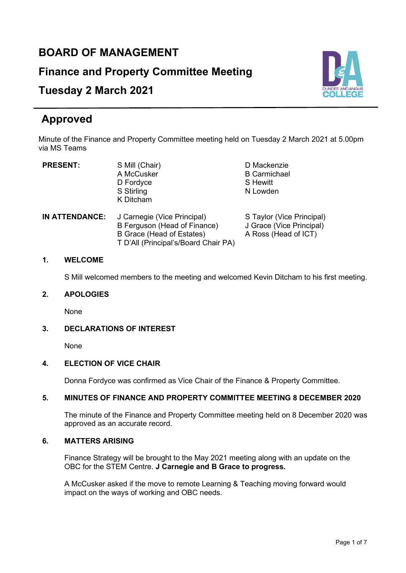## **BOARD OF MANAGEMENT**

**Finance and Property Committee Meeting**

# **Tuesday 2 March 2021**

# **Approved**

Minute of the Finance and Property Committee meeting held on Tuesday 2 March 2021 at 5.00pm via MS Teams

A McCusker B Carmichael B Carmichael B Carmichael B Carmichael B Carmichael B Carmichael B Carmichael B Carmichael B Carmichael B Carmichael B Carmichael B Carmichael B Carmichael B Carmichael B Carmichael B Carmichael B C D Fordyce<br>S Stirling K Ditcham

**PRESENT:** S Mill (Chair) D Mackenzie<br>A McCusker B Carmichael N Lowden

| IN ATTENDANCE: | J Carnegie (Vice Principal)          | S Taylor (Vice Principal) |
|----------------|--------------------------------------|---------------------------|
|                | B Ferguson (Head of Finance)         | J Grace (Vice Principal)  |
|                | B Grace (Head of Estates)            | A Ross (Head of ICT)      |
|                | T D'All (Principal's/Board Chair PA) |                           |

#### **1. WELCOME**

S Mill welcomed members to the meeting and welcomed Kevin Ditcham to his first meeting.

#### **2. APOLOGIES**

None

#### **3. DECLARATIONS OF INTEREST**

None

#### **4. ELECTION OF VICE CHAIR**

Donna Fordyce was confirmed as Vice Chair of the Finance & Property Committee.

#### **5. MINUTES OF FINANCE AND PROPERTY COMMITTEE MEETING 8 DECEMBER 2020**

The minute of the Finance and Property Committee meeting held on 8 December 2020 was approved as an accurate record.

#### **6. MATTERS ARISING**

Finance Strategy will be brought to the May 2021 meeting along with an update on the OBC for the STEM Centre. **J Carnegie and B Grace to progress.**

A McCusker asked if the move to remote Learning & Teaching moving forward would impact on the ways of working and OBC needs.

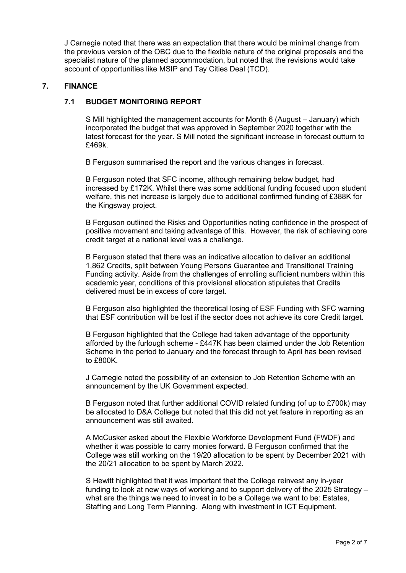J Carnegie noted that there was an expectation that there would be minimal change from the previous version of the OBC due to the flexible nature of the original proposals and the specialist nature of the planned accommodation, but noted that the revisions would take account of opportunities like MSIP and Tay Cities Deal (TCD).

#### **7. FINANCE**

#### **7.1 BUDGET MONITORING REPORT**

S Mill highlighted the management accounts for Month 6 (August – January) which incorporated the budget that was approved in September 2020 together with the latest forecast for the year. S Mill noted the significant increase in forecast outturn to £469k.

B Ferguson summarised the report and the various changes in forecast.

B Ferguson noted that SFC income, although remaining below budget, had increased by £172K. Whilst there was some additional funding focused upon student welfare, this net increase is largely due to additional confirmed funding of £388K for the Kingsway project.

B Ferguson outlined the Risks and Opportunities noting confidence in the prospect of positive movement and taking advantage of this. However, the risk of achieving core credit target at a national level was a challenge.

B Ferguson stated that there was an indicative allocation to deliver an additional 1,862 Credits, split between Young Persons Guarantee and Transitional Training Funding activity. Aside from the challenges of enrolling sufficient numbers within this academic year, conditions of this provisional allocation stipulates that Credits delivered must be in excess of core target.

B Ferguson also highlighted the theoretical losing of ESF Funding with SFC warning that ESF contribution will be lost if the sector does not achieve its core Credit target.

B Ferguson highlighted that the College had taken advantage of the opportunity afforded by the furlough scheme - £447K has been claimed under the Job Retention Scheme in the period to January and the forecast through to April has been revised to £800K.

J Carnegie noted the possibility of an extension to Job Retention Scheme with an announcement by the UK Government expected.

B Ferguson noted that further additional COVID related funding (of up to £700k) may be allocated to D&A College but noted that this did not yet feature in reporting as an announcement was still awaited.

A McCusker asked about the Flexible Workforce Development Fund (FWDF) and whether it was possible to carry monies forward. B Ferguson confirmed that the College was still working on the 19/20 allocation to be spent by December 2021 with the 20/21 allocation to be spent by March 2022.

S Hewitt highlighted that it was important that the College reinvest any in-year funding to look at new ways of working and to support delivery of the 2025 Strategy – what are the things we need to invest in to be a College we want to be: Estates, Staffing and Long Term Planning. Along with investment in ICT Equipment.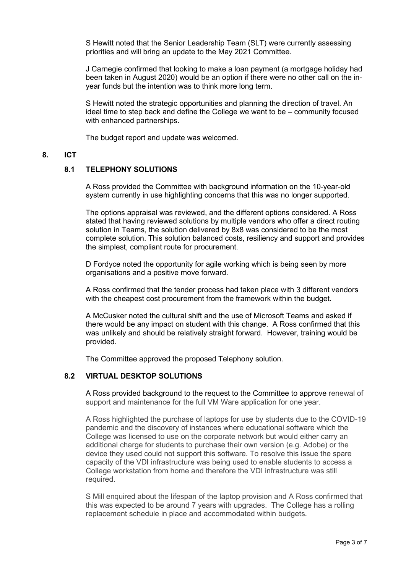S Hewitt noted that the Senior Leadership Team (SLT) were currently assessing priorities and will bring an update to the May 2021 Committee.

J Carnegie confirmed that looking to make a loan payment (a mortgage holiday had been taken in August 2020) would be an option if there were no other call on the inyear funds but the intention was to think more long term.

S Hewitt noted the strategic opportunities and planning the direction of travel. An ideal time to step back and define the College we want to be – community focused with enhanced partnerships.

The budget report and update was welcomed.

#### **8. ICT**

#### **8.1 TELEPHONY SOLUTIONS**

A Ross provided the Committee with background information on the 10-year-old system currently in use highlighting concerns that this was no longer supported.

The options appraisal was reviewed, and the different options considered. A Ross stated that having reviewed solutions by multiple vendors who offer a direct routing solution in Teams, the solution delivered by 8x8 was considered to be the most complete solution. This solution balanced costs, resiliency and support and provides the simplest, compliant route for procurement.

D Fordyce noted the opportunity for agile working which is being seen by more organisations and a positive move forward.

A Ross confirmed that the tender process had taken place with 3 different vendors with the cheapest cost procurement from the framework within the budget.

A McCusker noted the cultural shift and the use of Microsoft Teams and asked if there would be any impact on student with this change. A Ross confirmed that this was unlikely and should be relatively straight forward. However, training would be provided.

The Committee approved the proposed Telephony solution.

#### **8.2 VIRTUAL DESKTOP SOLUTIONS**

A Ross provided background to the request to the Committee to approve renewal of support and maintenance for the full VM Ware application for one year.

A Ross highlighted the purchase of laptops for use by students due to the COVID-19 pandemic and the discovery of instances where educational software which the College was licensed to use on the corporate network but would either carry an additional charge for students to purchase their own version (e.g. Adobe) or the device they used could not support this software. To resolve this issue the spare capacity of the VDI infrastructure was being used to enable students to access a College workstation from home and therefore the VDI infrastructure was still required.

S Mill enquired about the lifespan of the laptop provision and A Ross confirmed that this was expected to be around 7 years with upgrades. The College has a rolling replacement schedule in place and accommodated within budgets.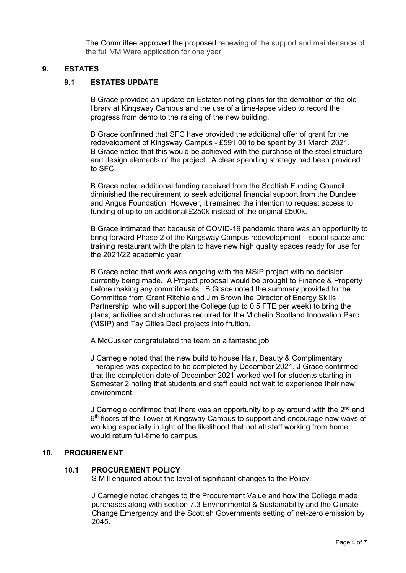The Committee approved the proposed renewing of the support and maintenance of the full VM Ware application for one year.

#### **9. ESTATES**

#### **9.1 ESTATES UPDATE**

B Grace provided an update on Estates noting plans for the demolition of the old library at Kingsway Campus and the use of a time-lapse video to record the progress from demo to the raising of the new building.

B Grace confirmed that SFC have provided the additional offer of grant for the redevelopment of Kingsway Campus - £591,00 to be spent by 31 March 2021. B Grace noted that this would be achieved with the purchase of the steel structure and design elements of the project. A clear spending strategy had been provided to SFC.

B Grace noted additional funding received from the Scottish Funding Council diminished the requirement to seek additional financial support from the Dundee and Angus Foundation. However, it remained the intention to request access to funding of up to an additional £250k instead of the original £500k.

B Grace intimated that because of COVID-19 pandemic there was an opportunity to bring forward Phase 2 of the Kingsway Campus redevelopment – social space and training restaurant with the plan to have new high quality spaces ready for use for the 2021/22 academic year.

B Grace noted that work was ongoing with the MSIP project with no decision currently being made. A Project proposal would be brought to Finance & Property before making any commitments. B Grace noted the summary provided to the Committee from Grant Ritchie and Jim Brown the Director of Energy Skills Partnership, who will support the College (up to 0.5 FTE per week) to bring the plans, activities and structures required for the Michelin Scotland Innovation Parc (MSIP) and Tay Cities Deal projects into fruition.

A McCusker congratulated the team on a fantastic job.

J Carnegie noted that the new build to house Hair, Beauty & Complimentary Therapies was expected to be completed by December 2021. J Grace confirmed that the completion date of December 2021 worked well for students starting in Semester 2 noting that students and staff could not wait to experience their new environment.

J Carnegie confirmed that there was an opportunity to play around with the  $2<sup>nd</sup>$  and  $6<sup>th</sup>$  floors of the Tower at Kingsway Campus to support and encourage new ways of working especially in light of the likelihood that not all staff working from home would return full-time to campus.

#### **10. PROCUREMENT**

#### **10.1 PROCUREMENT POLICY**

S Mill enquired about the level of significant changes to the Policy.

J Carnegie noted changes to the Procurement Value and how the College made purchases along with section 7.3 Environmental & Sustainability and the Climate Change Emergency and the Scottish Governments setting of net-zero emission by 2045.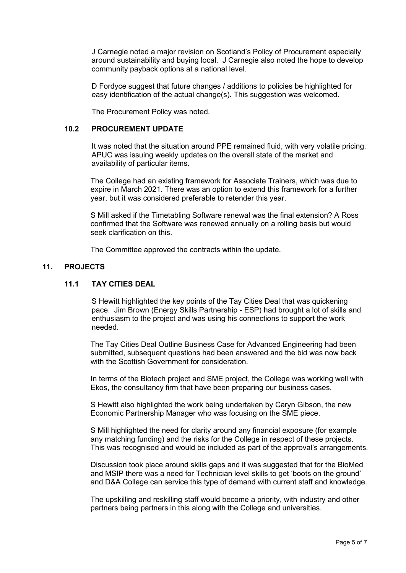J Carnegie noted a major revision on Scotland's Policy of Procurement especially around sustainability and buying local. J Carnegie also noted the hope to develop community payback options at a national level.

D Fordyce suggest that future changes / additions to policies be highlighted for easy identification of the actual change(s). This suggestion was welcomed.

The Procurement Policy was noted.

#### **10.2 PROCUREMENT UPDATE**

It was noted that the situation around PPE remained fluid, with very volatile pricing. APUC was issuing weekly updates on the overall state of the market and availability of particular items.

The College had an existing framework for Associate Trainers, which was due to expire in March 2021. There was an option to extend this framework for a further year, but it was considered preferable to retender this year.

S Mill asked if the Timetabling Software renewal was the final extension? A Ross confirmed that the Software was renewed annually on a rolling basis but would seek clarification on this.

The Committee approved the contracts within the update.

#### **11. PROJECTS**

## **11.1 TAY CITIES DEAL**

S Hewitt highlighted the key points of the Tay Cities Deal that was quickening pace. Jim Brown (Energy Skills Partnership - ESP) had brought a lot of skills and enthusiasm to the project and was using his connections to support the work needed.

The Tay Cities Deal Outline Business Case for Advanced Engineering had been submitted, subsequent questions had been answered and the bid was now back with the Scottish Government for consideration.

In terms of the Biotech project and SME project, the College was working well with Ekos, the consultancy firm that have been preparing our business cases.

S Hewitt also highlighted the work being undertaken by Caryn Gibson, the new Economic Partnership Manager who was focusing on the SME piece.

S Mill highlighted the need for clarity around any financial exposure (for example any matching funding) and the risks for the College in respect of these projects. This was recognised and would be included as part of the approval's arrangements.

Discussion took place around skills gaps and it was suggested that for the BioMed and MSIP there was a need for Technician level skills to get 'boots on the ground' and D&A College can service this type of demand with current staff and knowledge.

The upskilling and reskilling staff would become a priority, with industry and other partners being partners in this along with the College and universities.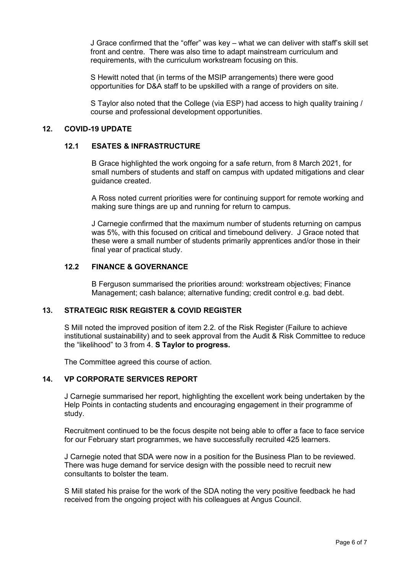J Grace confirmed that the "offer" was key – what we can deliver with staff's skill set front and centre. There was also time to adapt mainstream curriculum and requirements, with the curriculum workstream focusing on this.

S Hewitt noted that (in terms of the MSIP arrangements) there were good opportunities for D&A staff to be upskilled with a range of providers on site.

S Taylor also noted that the College (via ESP) had access to high quality training / course and professional development opportunities.

#### **12. COVID-19 UPDATE**

#### **12.1 ESATES & INFRASTRUCTURE**

B Grace highlighted the work ongoing for a safe return, from 8 March 2021, for small numbers of students and staff on campus with updated mitigations and clear guidance created.

A Ross noted current priorities were for continuing support for remote working and making sure things are up and running for return to campus.

J Carnegie confirmed that the maximum number of students returning on campus was 5%, with this focused on critical and timebound delivery. J Grace noted that these were a small number of students primarily apprentices and/or those in their final year of practical study.

#### **12.2 FINANCE & GOVERNANCE**

B Ferguson summarised the priorities around: workstream objectives; Finance Management; cash balance; alternative funding; credit control e.g. bad debt.

#### **13. STRATEGIC RISK REGISTER & COVID REGISTER**

S Mill noted the improved position of item 2.2. of the Risk Register (Failure to achieve institutional sustainability) and to seek approval from the Audit & Risk Committee to reduce the "likelihood" to 3 from 4. **S Taylor to progress.**

The Committee agreed this course of action.

#### **14. VP CORPORATE SERVICES REPORT**

J Carnegie summarised her report, highlighting the excellent work being undertaken by the Help Points in contacting students and encouraging engagement in their programme of study.

Recruitment continued to be the focus despite not being able to offer a face to face service for our February start programmes, we have successfully recruited 425 learners.

J Carnegie noted that SDA were now in a position for the Business Plan to be reviewed. There was huge demand for service design with the possible need to recruit new consultants to bolster the team.

S Mill stated his praise for the work of the SDA noting the very positive feedback he had received from the ongoing project with his colleagues at Angus Council.